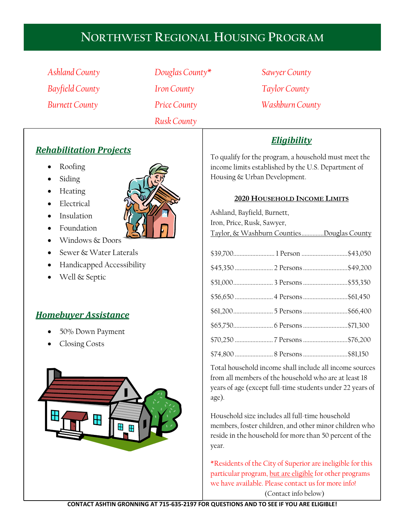# **NORTHWEST REGIONAL HOUSING PROGRAM**

*Ashland County Bayfield County Burnett County*

*Douglas County\* Iron County Price County Rusk County*

*Sawyer County Taylor County Washburn County*

## *Rehabilitation Projects*

- Roofing
- Siding
- Heating
- Electrical
- Insulation
- Foundation
- Windows & Doors
- Sewer & Water Laterals
- Handicapped Accessibility
- Well & Septic

## *Homebuyer Assistance*

- 50% Down Payment
- Closing Costs





## *Eligibility*

To qualify for the program, a household must meet the income limits established by the U.S. Department of Housing & Urban Development.

#### **2020 HOUSEHOLD INCOME LIMITS**

| Ashland, Bayfield, Burnett,               |  |                              |
|-------------------------------------------|--|------------------------------|
| Iron, Price, Rusk, Sawyer,                |  |                              |
| Taylor, & Washburn CountiesDouglas County |  |                              |
|                                           |  |                              |
|                                           |  | \$39,700 1 Person \$43,050   |
|                                           |  |                              |
|                                           |  |                              |
|                                           |  | \$56,650  4 Persons \$61,450 |
|                                           |  | \$61,2005 Persons\$66,400    |
|                                           |  |                              |
|                                           |  |                              |
|                                           |  |                              |

Total household income shall include all income sources from all members of the household who are at least 18 years of age (except full-time students under 22 years of age).

Household size includes all full-time household members, foster children, and other minor children who reside in the household for more than 50 percent of the year.

\*Residents of the City of Superior are ineligible for this particular program, but are eligible for other programs we have available. Please contact us for more info! (Contact info below)